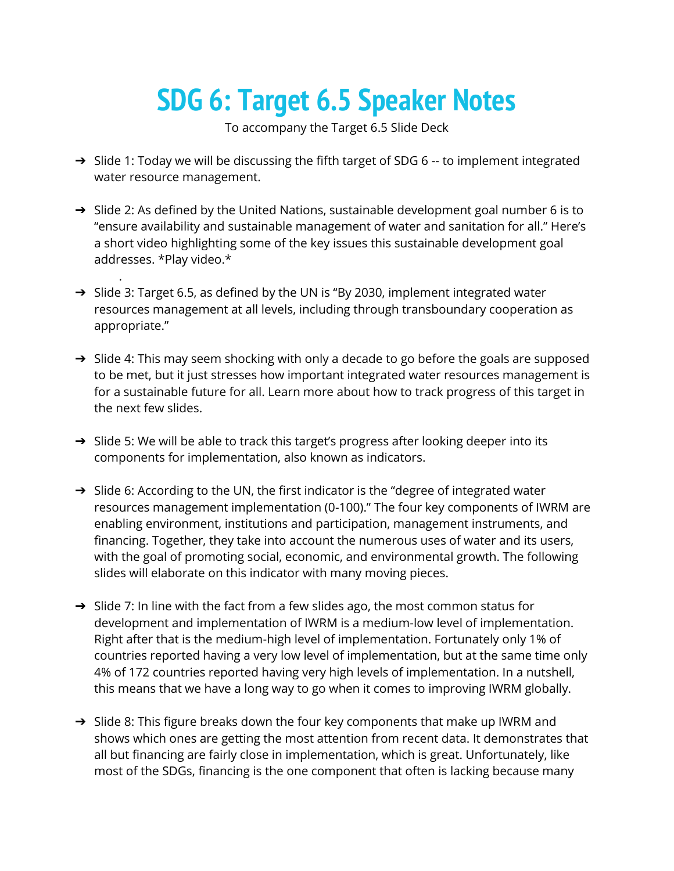## **SDG 6: Target 6.5 Speaker Notes**

To accompany the Target 6.5 Slide Deck

- → Slide 1: Today we will be discussing the fifth target of SDG 6 -- to implement integrated water resource management.
- → Slide 2: As defined by the United Nations, sustainable development goal number 6 is to "ensure availability and sustainable management of water and sanitation for all." Here's a short video highlighting some of the key issues this sustainable development goal addresses. \*Play video.\*
- → Slide 3: Target 6.5, as defined by the UN is "By 2030, implement integrated water resources management at all levels, including through transboundary cooperation as appropriate."

.

- → Slide 4: This may seem shocking with only a decade to go before the goals are supposed to be met, but it just stresses how important integrated water resources management is for a sustainable future for all. Learn more about how to track progress of this target in the next few slides.
- → Slide 5: We will be able to track this target's progress after looking deeper into its components for implementation, also known as indicators.
- $\rightarrow$  Slide 6: According to the UN, the first indicator is the "degree of integrated water resources management implementation (0-100)." The four key components of IWRM are enabling environment, institutions and participation, management instruments, and financing. Together, they take into account the numerous uses of water and its users, with the goal of promoting social, economic, and environmental growth. The following slides will elaborate on this indicator with many moving pieces.
- $\rightarrow$  Slide 7: In line with the fact from a few slides ago, the most common status for development and implementation of IWRM is a medium-low level of implementation. Right after that is the medium-high level of implementation. Fortunately only 1% of countries reported having a very low level of implementation, but at the same time only 4% of 172 countries reported having very high levels of implementation. In a nutshell, this means that we have a long way to go when it comes to improving IWRM globally.
- $\rightarrow$  Slide 8: This figure breaks down the four key components that make up IWRM and shows which ones are getting the most attention from recent data. It demonstrates that all but financing are fairly close in implementation, which is great. Unfortunately, like most of the SDGs, financing is the one component that often is lacking because many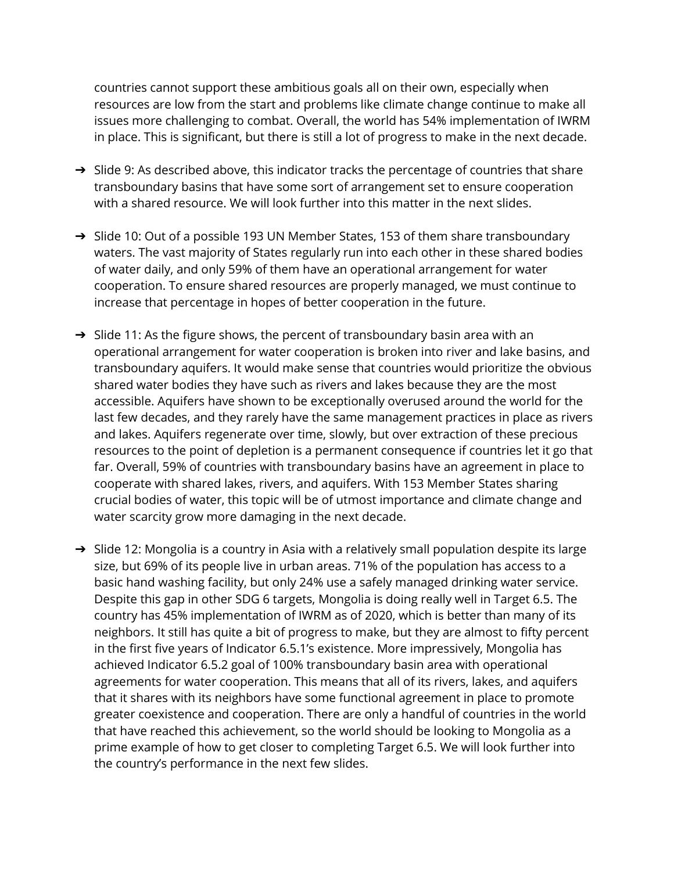countries cannot support these ambitious goals all on their own, especially when resources are low from the start and problems like climate change continue to make all issues more challenging to combat. Overall, the world has 54% implementation of IWRM in place. This is significant, but there is still a lot of progress to make in the next decade.

- → Slide 9: As described above, this indicator tracks the percentage of countries that share transboundary basins that have some sort of arrangement set to ensure cooperation with a shared resource. We will look further into this matter in the next slides.
- → Slide 10: Out of a possible 193 UN Member States, 153 of them share transboundary waters. The vast majority of States regularly run into each other in these shared bodies of water daily, and only 59% of them have an operational arrangement for water cooperation. To ensure shared resources are properly managed, we must continue to increase that percentage in hopes of better cooperation in the future.
- → Slide 11: As the figure shows, the percent of transboundary basin area with an operational arrangement for water cooperation is broken into river and lake basins, and transboundary aquifers. It would make sense that countries would prioritize the obvious shared water bodies they have such as rivers and lakes because they are the most accessible. Aquifers have shown to be exceptionally overused around the world for the last few decades, and they rarely have the same management practices in place as rivers and lakes. Aquifers regenerate over time, slowly, but over extraction of these precious resources to the point of depletion is a permanent consequence if countries let it go that far. Overall, 59% of countries with transboundary basins have an agreement in place to cooperate with shared lakes, rivers, and aquifers. With 153 Member States sharing crucial bodies of water, this topic will be of utmost importance and climate change and water scarcity grow more damaging in the next decade.
- → Slide 12: Mongolia is a country in Asia with a relatively small population despite its large size, but 69% of its people live in urban areas. 71% of the population has access to a basic hand washing facility, but only 24% use a safely managed drinking water service. Despite this gap in other SDG 6 targets, Mongolia is doing really well in Target 6.5. The country has 45% implementation of IWRM as of 2020, which is better than many of its neighbors. It still has quite a bit of progress to make, but they are almost to fifty percent in the first five years of Indicator 6.5.1's existence. More impressively, Mongolia has achieved Indicator 6.5.2 goal of 100% transboundary basin area with operational agreements for water cooperation. This means that all of its rivers, lakes, and aquifers that it shares with its neighbors have some functional agreement in place to promote greater coexistence and cooperation. There are only a handful of countries in the world that have reached this achievement, so the world should be looking to Mongolia as a prime example of how to get closer to completing Target 6.5. We will look further into the country's performance in the next few slides.